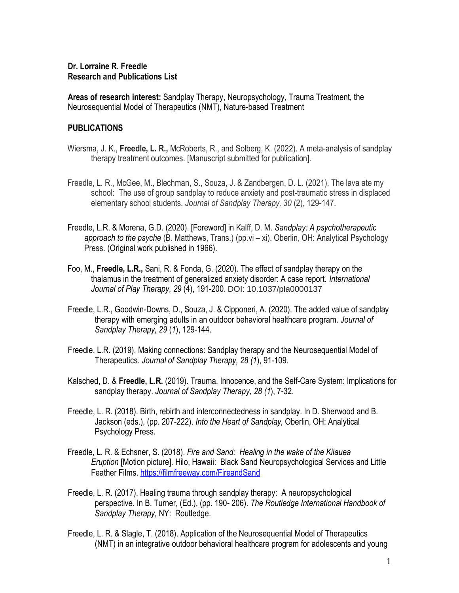## **Dr. Lorraine R. Freedle Research and Publications List**

**Areas of research interest:** Sandplay Therapy, Neuropsychology, Trauma Treatment, the Neurosequential Model of Therapeutics (NMT), Nature-based Treatment

## **PUBLICATIONS**

- Wiersma, J. K., **Freedle, L. R.,** McRoberts, R., and Solberg, K. (2022). A meta-analysis of sandplay therapy treatment outcomes. [Manuscript submitted for publication].
- Freedle, L. R., McGee, M., Blechman, S., Souza, J. & Zandbergen, D. L. (2021). The lava ate my school: The use of group sandplay to reduce anxiety and post-traumatic stress in displaced elementary school students. *Journal of Sandplay Therapy, 30* (2), 129-147.
- Freedle, L.R. & Morena, G.D. (2020). [Foreword] in Kalff, D. M. *Sandplay: A psychotherapeutic approach to the psyche* (B. Matthews, Trans.) (pp.vi – xi). Oberlin, OH: Analytical Psychology Press. (Original work published in 1966).
- Foo, M., **Freedle, L.R.,** Sani, R. & Fonda, G. (2020). The effect of sandplay therapy on the thalamus in the treatment of generalized anxiety disorder: A case report. *International Journal of Play Therapy, 29* (4), 191-200. DOI: 10.1037/pla0000137
- Freedle, L.R., Goodwin-Downs, D., Souza, J. & Cipponeri, A. (2020). The added value of sandplay therapy with emerging adults in an outdoor behavioral healthcare program. *Journal of Sandplay Therapy, 29* (*1*), 129-144.
- Freedle, L.R**.** (2019). Making connections: Sandplay therapy and the Neurosequential Model of Therapeutics. *Journal of Sandplay Therapy, 28 (1*), 91-109.
- Kalsched, D. & **Freedle, L.R.** (2019). Trauma, Innocence, and the Self-Care System: Implications for sandplay therapy. *Journal of Sandplay Therapy, 28 (1*), 7-32.
- Freedle, L. R. (2018). Birth, rebirth and interconnectedness in sandplay. In D. Sherwood and B. Jackson (eds.), (pp. 207-222). *Into the Heart of Sandplay,* Oberlin, OH: Analytical Psychology Press.
- Freedle, L. R. & Echsner, S. (2018). *Fire and Sand: Healing in the wake of the Kilauea Eruption* [Motion picture]. Hilo, Hawaii: Black Sand Neuropsychological Services and Little Feather Films. <https://filmfreeway.com/FireandSand>
- Freedle, L. R. (2017). Healing trauma through sandplay therapy: A neuropsychological perspective. In B. Turner, (Ed.), (pp. 190- 206). *The Routledge International Handbook of Sandplay Therapy,* NY: Routledge.
- Freedle, L. R. & Slagle, T. (2018). Application of the Neurosequential Model of Therapeutics (NMT) in an integrative outdoor behavioral healthcare program for adolescents and young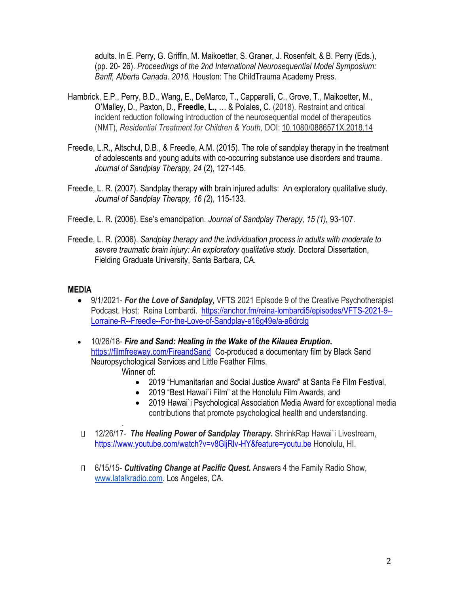adults. In E. Perry, G. Griffin, M. Maikoetter, S. Graner, J. Rosenfelt, & B. Perry (Eds.), (pp. 20- 26). *Proceedings of the 2nd International Neurosequential Model Symposium: Banff, Alberta Canada. 2016.* Houston: The ChildTrauma Academy Press.

- Hambrick, E.P., Perry, B.D., Wang, E., DeMarco, T., Capparelli, C., Grove, T., Maikoetter, M., O'Malley, D., Paxton, D., **Freedle, L.,** … & Polales, C. (2018). Restraint and critical incident reduction following introduction of the neurosequential model of therapeutics (NMT), *Residential Treatment for Children & Youth,* DOI: 10.1080/0886571X.2018.14
- Freedle, L.R., Altschul, D.B., & Freedle, A.M. (2015). The role of sandplay therapy in the treatment of adolescents and young adults with co-occurring substance use disorders and trauma. *Journal of Sandplay Therapy, 24* (2)*,* 127-145.
- Freedle, L. R. (2007). Sandplay therapy with brain injured adults: An exploratory qualitative study. *Journal of Sandplay Therapy, 16 (2*), 115-133.
- Freedle, L. R. (2006). Ese's emancipation. *Journal of Sandplay Therapy, 15 (1),* 93-107.
- Freedle, L. R. (2006). *Sandplay therapy and the individuation process in adults with moderate to severe traumatic brain injury: An exploratory qualitative study.* Doctoral Dissertation, Fielding Graduate University, Santa Barbara, CA.

## **MEDIA**

.

- 9/1/2021- *For the Love of Sandplay,* VFTS 2021 Episode 9 of the Creative Psychotherapist Podcast. Host: Reina Lombardi. [https://anchor.fm/reina-lombardi5/episodes/VFTS-2021-9--](https://anchor.fm/reina-lombardi5/episodes/VFTS-2021-9--Lorraine-R--Freedle--For-the-Love-of-Sandplay-e16g49e/a-a6drclg) [Lorraine-R--Freedle--For-the-Love-of-Sandplay-e16g49e/a-a6drclg](https://anchor.fm/reina-lombardi5/episodes/VFTS-2021-9--Lorraine-R--Freedle--For-the-Love-of-Sandplay-e16g49e/a-a6drclg)
- 10/26/18- *Fire and Sand: Healing in the Wake of the Kilauea Eruption***.**  <https://filmfreeway.com/FireandSand>Co-produced a documentary film by Black Sand Neuropsychological Services and Little Feather Films. Winner of:
	- 2019 "Humanitarian and Social Justice Award" at Santa Fe Film Festival,
	- 2019 "Best Hawai`i Film" at the Honolulu Film Awards, and
	- 2019 Hawai`i Psychological Association Media Award for exceptional media contributions that promote psychological health and understanding.
- 12/26/17- *The Healing Power of Sandplay Therapy***.** ShrinkRap Hawai`i Livestream, http[s://www.youtube.com/watch?v=v8GljRlv-HY&feature=youtu.be](http://www.youtube.com/watch?v=v8GljRlv-HY&feature=youtu.be) Honolulu, HI.
- 6/15/15- *Cultivating Change at Pacific Quest***.** Answers 4 the Family Radio Show, [www.latalkradio.com.](http://www.latalkradio.com/) Los Angeles, CA.